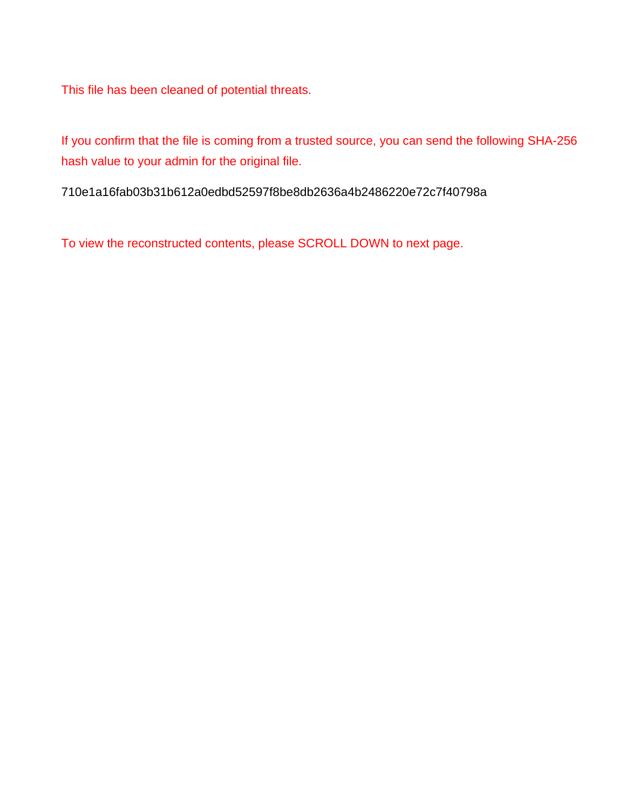This file has been cleaned of potential threats.

If you confirm that the file is coming from a trusted source, you can send the following SHA-256 hash value to your admin for the original file.

710e1a16fab03b31b612a0edbd52597f8be8db2636a4b2486220e72c7f40798a

To view the reconstructed contents, please SCROLL DOWN to next page.